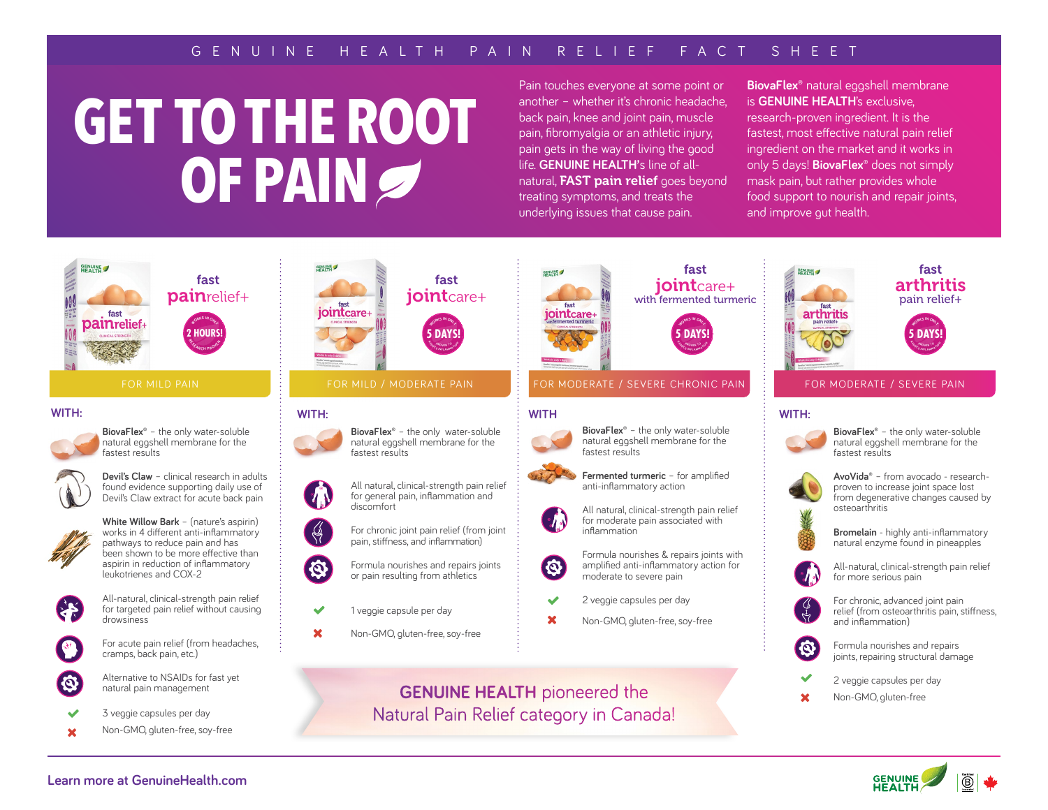## G E N U I N E H E A LT H PA I N R E L I E F FAC T S H E E T

# **GET TO THE ROOT OF PAIN**

Pain touches everyone at some point or another – whether it's chronic headache, back pain, knee and joint pain, muscle pain, fibromyalgia or an athletic injury, pain gets in the way of living the good life. **GENUINE HEALTH'**s line of allnatural, **FAST pain relief** goes beyond treating symptoms, and treats the underlying issues that cause pain.

**BiovaFlex®** natural eggshell membrane is **GENUINE HEALTH**'s exclusive, research-proven ingredient. It is the fastest, most effective natural pain relief ingredient on the market and it works in only 5 days! **BiovaFlex®** does not simply mask pain, but rather provides whole food support to nourish and repair joints, and improve gut health.